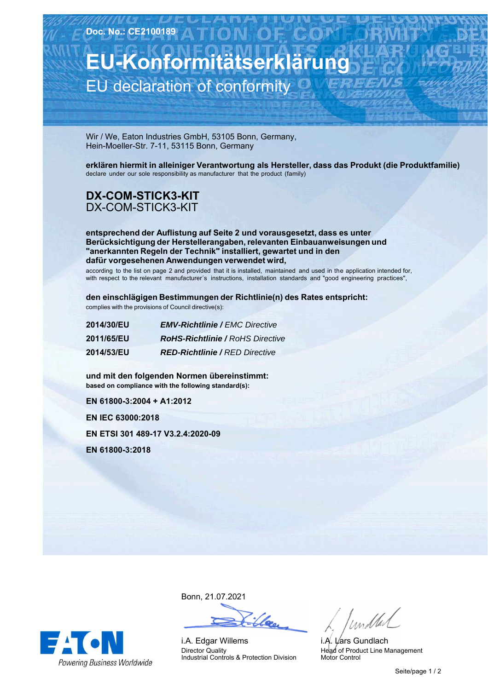**EU-Konformitätserklärung** EU declaration of conformity

Wir / We, Eaton Industries GmbH, 53105 Bonn, Germany, Hein-Moeller-Str. 7-11, 53115 Bonn, Germany

**erklären hiermit in alleiniger Verantwortung als Hersteller, dass das Produkt (die Produktfamilie)** declare under our sole responsibility as manufacturer that the product (family)

## **DX-COM-STICK3-KIT** DX-COM-STICK3-KIT

**entsprechend der Auflistung auf Seite 2 und vorausgesetzt, dass es unter Berücksichtigung der Herstellerangaben, relevanten Einbauanweisungen und "anerkannten Regeln der Technik" installiert, gewartet und in den dafür vorgesehenen Anwendungen verwendet wird,**

according to the list on page 2 and provided that it is installed, maintained and used in the application intended for, with respect to the relevant manufacturer´s instructions, installation standards and "good engineering practices",

**den einschlägigen Bestimmungen der Richtlinie(n) des Rates entspricht:** complies with the provisions of Council directive(s):

| 2014/30/EU        | <b>EMV-Richtlinie / EMC Directive</b>   |
|-------------------|-----------------------------------------|
| <b>2011/65/EU</b> | <b>RoHS-Richtlinie / RoHS Directive</b> |
| <b>2014/53/EU</b> | <b>RED-Richtlinie / RED Directive</b>   |

**und-mit-den-folgenden-Normen-übereinstimmt: based on compliance with the following standard(s):** 

**EN-61800-3:2004-+-A1:2012**

**EN-IEC-63000:2018**

**EN-ETSI-301-489-17-V3.2.4:2020-09**

**EN-61800-3:2018**



Bonn,-21.07.2021

i.A. Edgar Willems Director Quality Industrial Controls & Protection Division

/ und tal

i.*A*. L⁄ars Gundlach Head of Product Line Management Motor Control